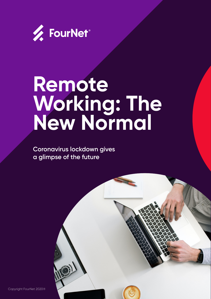

# **Remote Working: The New Normal**

**Coronavirus lockdown gives a glimpse of the future**

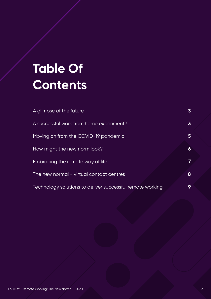# **Table Of Contents**

| A glimpse of the future                                   | $\overline{\mathbf{3}}$ |
|-----------------------------------------------------------|-------------------------|
| A successful work from home experiment?                   | $\overline{\mathbf{3}}$ |
| Moving on from the COVID-19 pandemic                      | 5                       |
| How might the new norm look?                              | 6                       |
| Embracing the remote way of life                          | 7                       |
| The new normal - virtual contact centres                  | 8                       |
| Technology solutions to deliver successful remote working | 9                       |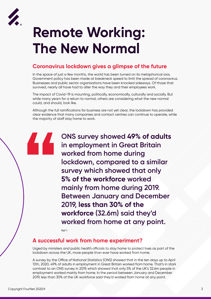

# **Remote Working: The New Normal**

#### **Coronavirus lockdown gives a glimpse of the future**

In the space of just a few months, the world has been turned on its metaphorical axis. Government policy has been made at breakneck speed to limit the spread of coronavirus. Businesses and public sector organisations have been knocked sideways. Of those that survived, nearly all have had to alter the way they and their employees work.

The impact of Covid-19 is mounting, politically, economically, culturally and socially. But while many yearn for a return to normal, others are considering what the new normal could, and should, look like.

Although the full ramifications for business are not yet clear, the lockdown has provided clear evidence that many companies and contact centres can continue to operate, while the majority of staff stay home to work.

**ONS survey showed 49% of adults in employment in Great Britain**<br>**in employment in Great Britain worked from home during lockdown, compared to a similar survey which showed that only 5% of the workforce worked mainly from home during 2019. Between January and December 2019, less than 30% of the workforce (32.6m) said they'd worked from home at any point.**

Ref 1

#### **A successful work from home experiment?**

Urged by ministers and public health officials to stay home to protect lives as part of the lockdown across the UK, more people than ever have worked from home.

A survey by the Office of National Statistics (ONS) showed that in the ten days up to April 13th, 2020, 49% of adults in employment in Great Britain worked from home. That's in stark contrast to an ONS survey in 2019, which showed that only 5% of the UK's 32.6m people in employment worked mainly from home. In the period between January and December 2019, less than 30% of the UK workforce said they'd worked from home at any point.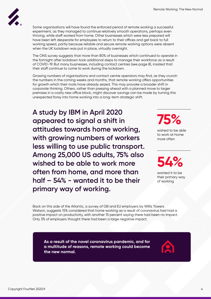

Some organisations will have found the enforced period of remote working a successful experiment, as they managed to continue relatively smooth operations, perhaps even thriving, while staff worked from home. Other businesses which were less prepared will have been left desperate for employees to return to their offices and get back to full working speed, partly because reliable and secure remote working options were absent when the UK lockdown was put in place, virtually overnight.

The ONS survey suggests that more than 80% of businesses which continued to operate in the fortnight after lockdown took additional steps to manage their workforce as a result of COVID-19. But many businesses, including contact centres (see page 8), insisted that their staff continue to come to work during the lockdown.

Growing numbers of organisations and contact centre operators may find, as they crunch the numbers in the coming weeks and months, that remote working offers opportunities for growth which their rivals have already seized. This may provoke a broader shift in corporate thinking. Others, rather than pressing ahead with a planned move to larger premises in a costly new office block, might discover savings can be made by turning this unexpected foray into home working into a long-term strategic shift.

**A study by IBM in April 2020 appeared to signal a shift in attitudes towards home working, with growing numbers of workers less willing to use public transport. Among 25,000 US adults, 75% also wished to be able to work more often from home, and more than half – 54% - wanted it to be their primary way of working.** 

**75%**

wished to be able to work at home more often

**54%**

wanted it to be their primary way of working

Back on this side of the Atlantic, a survey of GB and EU employers by Willis Towers Watson, suggests 15% considered that home working as a result of coronavirus had had a positive impact on productivity, with another 15 percent saying there had been no impact. Only 3% of employers thought there had been a large negative impact.

**As a result of the novel coronavirus pandemic, and for a multitude of reasons, remote working could become the new normal.** 

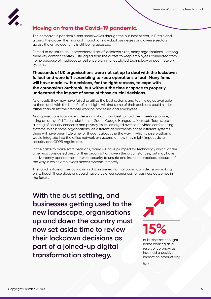

## **Moving on from the Covid-19 pandemic.**

The coronavirus pandemic sent shockwaves through the business sector, in Britain and around the globe. The financial impact for individual businesses and diverse sectors across the entire economy is still being assessed.

Forced to adapt to an unprecedented set of lockdown rules, many organisations - among them key contact centres - struggled from the outset to keep employees connected from home because of inadequate resilience planning, outdated technology or poor network systems.

#### **Thousands of UK organisations were not set up to deal with the lockdown fallout and were left scrambling to keep operations afloat. Many firms will have made swift decisions, for the right reasons, to cope with the coronavirus outbreak, but without the time or space to properly understand the impact of some of those crucial decisions.**

As a result, they may have failed to utilise the best systems and technologies available to them and, with the benefit of hindsight, will find some of their decisions could hinder rather than assist their remote working processes and employees.

As organisations took urgent decisions about how best to hold their meetings online, using an array of different platforms – Zoom, Google Hangouts, Microsoft Teams, etc a string of security concerns and privacy issues emerged over some video conferencing systems. Within some organisations, as different departments chose different systems there will have been little time for thought about the the way in which those platforms would integrate into the office network or systems, or how they might impact data security and GDPR regulations.

In the haste to make swift decisions, many will have plumped for technology which, at the time, was considered best for their organisation, given the circumstances, but may have inadvertently opened their network security to unsafe and insecure practices because of the way in which employees access systems remotely.

The rapid nature of the lockdown in Britain turned normal boardroom decision-making on its head. These decisions could have crucial consequences for business outcomes in the future.

**With the dust settling, and businesses getting used to the new landscape, organisations up and down the country must now set aside time to review their lockdown decisions as part of a joined-up digital transformation strategy.**



of businesses thought home working as a result of coronavirus had had a positive impact on productivity

Ref 4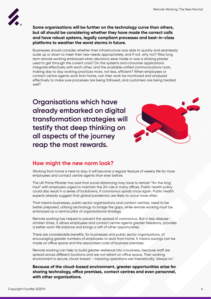

#### **Some organisations will be further on the technology curve than others, but all should be considering whether they have made the correct calls and have robust systems, legally compliant processes and best-in-class platforms to weather the worst storms in future.**

Businesses should consider whether their infrastructure was able to quickly and seamlessly scale up or down to meet their new needs appropriately, and if not, why not? Was long term remote working embraced when decisions were made or was a sticking plaster used to get through the current crisis? Do the systems and consumer applications integrate effectively with each other, and the available unified communications tools, making day to day working practices more, not less, efficient? When employees or contact centre agents work from home, can their work be monitored and analysed effectively to make sure processes are being followed, and customers are being treated well?

**Organisations which have already embarked on digital transformation strategies will testify that deep thinking on all aspects of the journey reap the most rewards.** 



### **How might the new norm look?**

Working from home is here to stay. It will become a regular feature of weekly life for more employees and contact centre agents than ever before.

The UK Prime Minister has said that social distancing may have to remain "for the long haul" with employers urged to maintain the 2m rule in many offices. Public health policy could also result in a series of lockdowns, if coronavirus spirals once again. Public health experts already suggest that global pandemics are likely to occur more often.

That means businesses, public sector organisations and contact centres, need to be better prepared, utilising technology to bridge the gaps, while remote working must be embraced as a central pillar of organisational strategy.

Remote working has helped to prevent the spread of coronavirus. But in less diseasestricken times, it allows employees and contact centre agents greater freedoms, provides a better work-life balance and brings a raft of other opportunities.

There are considerable benefits, for businesses and public sector organisations, of encouraging greater numbers of employees to work from home. It means savings can be made on office space and the associated costs of business premises.

Remote working can help to build greater resilience into a business, because staff are spread across different locations and are not reliant on office space. Their working environment is secure, cloud-based – meaning operations are theoretically, 'always on.'

**Because of the cloud-based environment, greater opportunities arise for sharing technology, office premises, contact centres and even personnel, with other organisations.**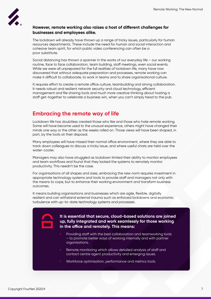

#### **However, remote working also raises a host of different challenges for businesses and employees alike.**

The lockdown will already have thrown up a range of tricky issues, particularly for human resources departments. These include the need for human and social interaction and cohesive team spirit, for which public video conferencing can often be a poor substitute.

Social distancing has thrown a spanner in the works of our everyday life – our working routine, face to face collaboration, team building, staff meetings, even social events. While we were all unprepared for the full realities of lockdown life, many have now discovered that without adequate preparation and processes, remote working can make it difficult to collaborate, to work in teams and to share organisational culture.

It requires effort to create a remote office culture, teambuilding and strong collaboration. It needs robust and resilient network security and cloud technology, efficient management and file sharing tools and much more creative thinking about hosting a staff get-together to celebrate a business win, when you can't simply head to the pub.

#### **Embracing the remote way of life**

Lockdown life has doubtless created those who like and those who hate remote working. Some will have become used to the unusual experience, others might have changed their minds one way or the other as the weeks rolled on. Those views will have been shaped, in part, by the tools at their disposal.

Many employees will have missed their normal office environment, where they are able to track down colleagues to discuss a tricky issue, and where useful chats are held over the water-cooler.

Managers may also have struggled as lockdown limited their ability to monitor employees and team workflows and found that they lacked the systems to remotely monitor productivity. This needn't be the case.

For organisations of all shapes and sizes, embracing the new norm requires investment in appropriate technology systems and tools to provide staff and managers not only with the means to cope, but to enhance their working environment and transform business outcomes.

It means building organisations and businesses which are agile, flexible, digitally resilient and can withstand external trauma such as enforced lockdowns and economic turbulence with up-to-date technology systems and processes.

#### **It is essential that secure, cloud-based solutions are joined up, fully integrated and work seamlessly for those working in the office and remotely. This means:**

- Providing staff with the best collaboration and teamworking tools – to promote better ways of working internally and with partner organisations.
- **•** Remote monitoring which allows detailed analysis of staff and contact centre agent productivity and emerging issues.
- **•** Workforce optimisation, performance and metrics tools.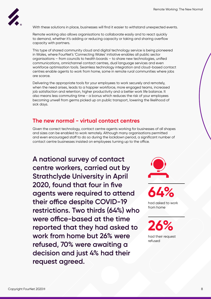

With these solutions in place, businesses will find it easier to withstand unexpected events.

Remote working also allows organisations to collaborate easily and to react quickly to demand, whether it's adding or reducing capacity or taking and sharing overflow capacity with partners.

This type of shared community cloud and digital technology service is being pioneered in Wales, where FourNet's 'Connecting Wales' initiative enables all public sector organisations – from councils to health boards – to share new technologies, unified communications, omnichannel contact centres, dual language services and even workforce optimisation tools. Seamless technology integration and cloud-based contact centres enable agents to work from home, some in remote rural communities where jobs are scarce.

Delivering the appropriate tools for your employees to work securely and remotely, when the need arises, leads to a happier workforce, more engaged teams, increased job satisfaction and retention, higher productivity and a better work life balance. It also means less commuting time - a bonus which reduces the risk of your employees becoming unwell from germs picked up on public transport, lowering the likelihood of sick days.

#### **The new normal - virtual contact centres**

Given the correct technology, contact centre agents working for businesses of all shapes and sizes can be enabled to work remotely. Although many organisations permitted and even encouraged staff to do so during the lockdown period, a significant number of contact centre businesses insisted on employees turning up to the office.

**A national survey of contact centre workers, carried out by Strathclyde University in April 2020, found that four in five agents were required to attend their office despite COVID-19 restrictions. Two thirds (64%) who were office-based at the time reported that they had asked to work from home but 26% were refused, 70% were awaiting a decision and just 4% had their request agreed.** 





had asked to work from home

**26%**

had their request refused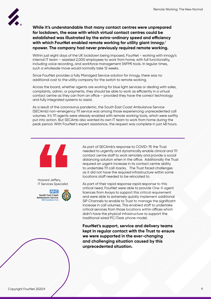

**While it's understandable that many contact centres were unprepared for lockdown, the ease with which virtual contact centres could be established was illustrated by the extra-ordinary speed and efficiency with which FourNet enabled remote working for utility giant innogy/ npower. The company had never previously required remote working.** 

Within just eight days of the UK lockdown being imposed, FourNet - working with innogy's internal IT team – assisted 2,000 employees to work from home, with full functionality, including voice recording, and workforce management (WFM) tools. In regular times, such a wholesale move would normally take 12 weeks.

Since FourNet provides a fully Managed Service solution for innogy, there was no additional cost to the utility company for the switch to remote working.

Across the board, whether agents are working for blue light services or dealing with sales, complaints, admin, or payments, they should be able to work as efficiently in a virtual contact centre as they can from an office – provided they have the correct technology and fully integrated systems to assist.

As a result of the coronavirus pandemic, the South East Coast Ambulance Service (SECAmb) non-emergency 111 service was among those experiencing unprecedented call volumes. It's 111 agents were already enabled with remote working tools, which were swiftly put into action. But SECAmb also wanted its own IT team to work from home during the peak period. With FourNet's expert assistance, the request was complete in just 48 hours.



Howard Jeffery, IT Services Specialist



As part of SECAmb's response to COVID-19, the Trust needed to urgently and dynamically enable clinical and 111 contact centre staff to work remotely and provide a social distancing solution when in the office. Additionally the Trust required an urgent increase in its contact centre ability to undertake 111 call-backs. The Trust faced challenges as it did not have the required infrastructure within some locations staff needed to be relocated to.

As part of their rapid response rapid response to this critical need, FourNet were able to provide One-X agent licences from Avaya to support this critical requirement and were able to extremely quickly implement additional SIP Channels to enable to Trust to manage the significant increase in call volumes. This enabled staff to undertake critical services from those locations within offices which didn't have the physical infrastructure to support the traditional wired PC/Desk phone model.

**FourNet's support, service and delivery teams kept in regular contact with the Trust to ensure we were supported in the ever-changing and challenging situation caused by this unprecedented situation.**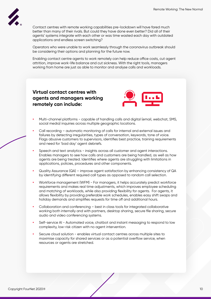

Contact centres with remote working capabilities pre-lockdown will have fared much better than many of their rivals. But could they have done even better? Did all of their agents' systems integrate with each other or was time wasted each day with outdated applications and endless screen switching?

Operators who were unable to work seamlessly through the coronavirus outbreak should be considering their options and planning for the future now.

Enabling contact centre agents to work remotely can help reduce office costs, cut agent attrition, improve work-life balance and cut sickness. With the right tools, managers working from home are just as able to monitor and analyse calls and workloads.

**Virtual contact centres with agents and managers working remotely can include:** 



- **•** Multi-channel platforms capable of handling calls and digital (email, webchat, SMS, social media) inquiries across multiple geographic locations.
- **•** Call recording automatic monitoring of calls for internal and external issues and failures by detecting irregularities, types of conversation, keywords, tone of voice. Flags abusive customers to supervisors, identifies best practice, training requirements and need for 'bad day' agent debriefs.
- **•** Speech and text analytics insights across all customer and agent interactions. Enables managers to see how calls and customers are being handled, as well as how agents are being treated. Identifies where agents are struggling with limitations in applications, policies, procedures and other components.
- **•** Quality Assurance (QA) improve agent satisfaction by enhancing consistency of QA by identifying different required call types as opposed to random call selection.
- **•** Workforce management (WFM) For managers, it helps accurately predict workforce requirements and makes real time adjustments, which improves employee scheduling and matching of workloads, while also providing flexibility for agents. For agents, it allows flexibility by providing preferable work schedules, enables easy shift swaps and holiday demands and simplifies requests for time off and additional hours.
- **•** Collaboration and conferencing best in class tools for integrated collaborative working both internally and with partners, desktop sharing, secure file sharing, secure audio and video conferencing systems.
- **•** Self-service AI Automated voice, chatbot and instant messaging to respond to low complexity, low-risk citizen with no agent intervention.
- **•** Secure cloud solution enables virtual contact centres across multiple sites to maximise capacity for shared services or as a potential overflow service, when resources or agents are stretched.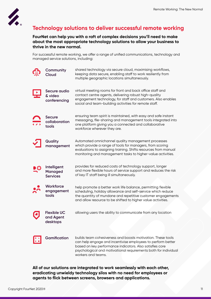

## **Technology solutions to deliver successful remote working**

**FourNet can help you with a raft of complex decisions you'll need to make about the most appropriate technology solutions to allow your business to thrive in the new normal.**

For successful remote working, we offer a range of unified communications, technology and managed service solutions, including:

| Community<br>Cloud                               | shared technology via secure cloud, maximising workflows,<br>keeping data secure, enabling staff to work resiliently from<br>multiple geographic locations simultaneously.                                                                                                      |
|--------------------------------------------------|---------------------------------------------------------------------------------------------------------------------------------------------------------------------------------------------------------------------------------------------------------------------------------|
| Secure audio<br>& video<br>conferencing          | virtual meeting rooms for front and back office staff and<br>contact centre agents, delivering robust high-quality<br>engagement technology, for staff and customers. Also enables<br>social and team-building activities for remote staff.                                     |
| <b>Secure</b><br>collaboration<br>tools          | ensuring team spirit is maintained, with easy and safe instant<br>messaging, file-sharing and management tools integrated into<br>one platform giving you a connected and collaborative<br>workforce wherever they are.                                                         |
| Quality<br>management                            | Automated omnichannel quality management processes<br>which provide a range of tools for managers, from scoring<br>evaluations to assigning training. Shifts resources from manual<br>monitoring and management tasks to higher-value activities.                               |
| Intelligent<br><b>Managed</b><br><b>Services</b> | provides for reduced costs of technology support, longer<br>and more flexible hours of service support and reduces the risk<br>of key IT staff being ill simultaneously.                                                                                                        |
| Workforce<br>engagement<br>tools                 | help promote a better work life balance, permitting flexible<br>scheduling, holiday allowance and self-service which reduce<br>the quantity of mundane and repetitive customer engagements<br>and allow resource to be shifted to higher value activities.                      |
| <b>Flexible UC</b><br>and Agent<br>desktops      | allowing users the ability to communicate from any location                                                                                                                                                                                                                     |
| <b>Gamification</b>                              | builds team cohesiveness and boosts motivation. These tools<br>can help engage and incentivise employees to perform better<br>based on key performance indicators. Also satisfies core<br>psychological and motivational requirements both for individual<br>workers and teams. |

**All of our solutions are integrated to work seamlessly with each other, eradicating unwieldy technology silos with no need for employees or agents to flick between screens, browsers and applications.**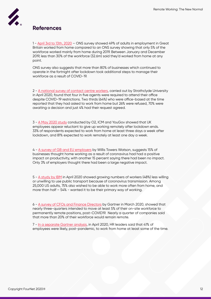

## **References**

1 - [April 3rd to 13th, 2020](https://www.ons.gov.uk/peoplepopulationandcommunity/healthandsocialcare/causesofdeath/bulletins/coronaviruscovid19relateddeathsbyoccupationenglandandwales/deathsregistereduptoandincluding20april2020) – ONS survey showed 49% of adults in employment in Great Britain worked from home compared to an ONS survey showing that only 5% of the workforce worked mainly from home during 2019. Between January and December 2019, less than 30% of the workforce (32.6m) said they'd worked from home at any point.

ONS survey also suggests that more than 80% of businesses which continued to operate in the fortnight after lockdown took additional steps to manage their workforce as a result of COVID-19.

2 - [A national survey of contact centre workers](https://www.strath.ac.uk/staff/taylorphilipprof/), carried out by Strathclyde University in April 2020, found that four in five agents were required to attend their office despite COVID-19 restrictions. Two thirds (64%) who were office-based at the time reported that they had asked to work from home but 26% were refused, 70% were awaiting a decision and just 4% had their request agreed.

3 - [A May 2020 study](https://www.peoplemanagement.co.uk/news/articles/half-workers-expect-work-more-flexibly-post-lockdown-survey?utm_source=mc&utm_medium=email&utm_content=pm_daily_06052020.Half+of+workers+expect+to+work+more+flexibly+post-lockdown%2c+survey+finds&utm_campaign=7295441&utm_term=8167428) conducted by O2, ICM and YouGov showed that UK employees appear reluctant to give up working remotely after lockdown ends. 33% of respondents expected to work from home at least three days a week after lockdown, and 81% expected to work remotely at least one day a week.

4 - [A survey of GB and EU employers](https://www.willistowerswatson.com/en-GB/Insights/2020/04/covid-19-pulse-survey-report-gb-and-western-europe) by Willis Towers Watson, suggests 15% of businesses thought home working as a result of coronavirus had had a positive impact on productivity, with another 15 percent saying there had been no impact. Only 3% of employers thought there had been a large negative impact.

5 - [A study by IBM](https://newsroom.ibm.com/2020-05-01-IBM-Study-COVID-19-Is-Significantly-Altering-U-S-Consumer-Behavior-and-Plans-Post-Crisis) in April 2020 showed growing numbers of workers (48%) less willing or unwilling to use public transport because of coronavirus transmission. Among 25,000 US adults, 75% also wished to be able to work more often from home, and more than half – 54% - wanted it to be their primary way of working.

6 - [A survey of CFOs and Finance Directors](https://www.gartner.com/en/newsroom/press-releases/2020-04-03-gartner-cfo-surey-reveals-74-percent-of-organizations-to-shift-some-employees-to-remote-work-permanently2) by Gartner in March 2020, showed that nearly three-quarters intended to move at least 5% of their on-site workforce to permanently remote positions, post-COVID19. Nearly a quarter of companies said that more than 20% of their workforce would remain remote.

7 - [In a separate Gartner analysis,](https://www.gartner.com/en/newsroom/press-releases/2020-04-14-gartner-hr-survey-reveals-41--of-employees-likely-to-) in April 2020, HR leaders said that 41% of employees were likely, post-pandemic, to work from home at least some of the time.